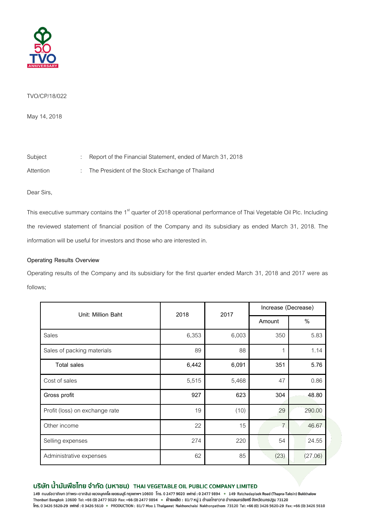

## TVO/CP/18/022

May14, 2018

Subject : Report of the Financial Statement, ended of March 31, 2018

Attention : The President of the Stock Exchange of Thailand

Dear Sirs,

This executive summary contains the 1<sup>st</sup> quarter of 2018 operational performance of Thai Vegetable Oil Plc. Including the reviewed statement of financial position of the Company and its subsidiary as ended March 31, 2018. The information will be useful for investors and those who are interested in.

# **Operating Results Overview**

Operating results of the Company and its subsidiary for the first quarter ended March 31, 2018 and 2017 were as follows;

| Unit: Million Baht             | 2018  | 2017  | Increase (Decrease) |         |
|--------------------------------|-------|-------|---------------------|---------|
|                                |       |       | Amount              | $\%$    |
| Sales                          | 6,353 | 6,003 | 350                 | 5.83    |
| Sales of packing materials     | 89    | 88    |                     | 1.14    |
| <b>Total sales</b>             | 6,442 | 6,091 | 351                 | 5.76    |
| Cost of sales                  | 5,515 | 5,468 | 47                  | 0.86    |
| Gross profit                   | 927   | 623   | 304                 | 48.80   |
| Profit (loss) on exchange rate | 19    | (10)  | 29                  | 290.00  |
| Other income                   | 22    | 15    | $\overline{7}$      | 46.67   |
| Selling expenses               | 274   | 220   | 54                  | 24.55   |
| Administrative expenses        | 62    | 85    | (23)                | (27.06) |

# บริษัท น้ำมันพืชไทย จำกัด (มหาชน) THAI VEGETABLE OIL PUBLIC COMPANY LIMITED

149 ถนนรัชดาภิเษก (ท่าพระ-ตากสิน) แขวงบุคคโล เขตธนบุรี กรุงเทพฯ 10600 โทร. 0 2477 9020 แฟกซ์ : 0 2477 9894 • 149 Ratchadapisek Road (Thapra-Taksin) Bukkhalow Thonburi Bangkok 10600 Tel: +66 (0) 2477 9020 Fax: +66 (0) 2477 9894 • ฝ่ายผลิต : 81/7 หมู่ 1 ดำบลไทยาวาส อำเภอนครชัยศรี จังหวัดนครปฐม 73120 Ins. 0 3426 5620-29 ||Who : 0 3426 5610 · PRODUCTION: 81/7 Moo 1 Thaiyawat Nakhonchaisi Nakhonpathom 73120 Tel: +66 (0) 3426 5620-29 Fax: +66 (0) 3426 5610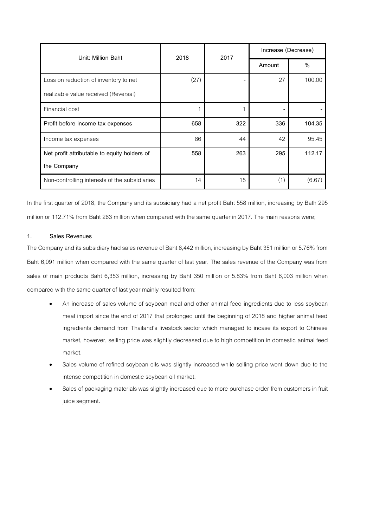| Unit: Million Baht                            | 2018 | 2017 | Increase (Decrease) |        |
|-----------------------------------------------|------|------|---------------------|--------|
|                                               |      |      | Amount              | $\%$   |
| Loss on reduction of inventory to net         | (27) |      | 27                  | 100.00 |
| realizable value received (Reversal)          |      |      |                     |        |
| Financial cost                                |      |      |                     |        |
| Profit before income tax expenses             | 658  | 322  | 336                 | 104.35 |
| Income tax expenses                           | 86   | 44   | 42                  | 95.45  |
| Net profit attributable to equity holders of  | 558  | 263  | 295                 | 112.17 |
| the Company                                   |      |      |                     |        |
| Non-controlling interests of the subsidiaries | 14   | 15   | (1)                 | (6.67) |

In the first quarter of 2018, the Company and its subsidiary had a net profit Baht 558 million, increasing by Bath 295 million or 112.71% from Baht 263 million when compared with the same quarter in 2017. The main reasons were;

# **1. Sales Revenues**

The Company and its subsidiary had sales revenue of Baht 6,442 million, increasing by Baht 351 million or 5.76% from Baht 6,091 million when compared with the same quarter of last year. The sales revenue of the Company was from sales of main products Baht 6,353 million, increasing by Baht 350 million or 5.83% from Baht 6,003 million when compared with the same quarter of last year mainly resulted from;

- An increase of sales volume of soybean meal and other animal feed ingredients due to less soybean meal import since the end of 2017 that prolonged until the beginning of 2018 and higher animal feed ingredients demand from Thailand's livestock sector which managed to incase its export to Chinese market, however, selling price was slightly decreased due to high competition in domestic animal feed market.
- Sales volume of refined soybean oils was slightly increased while selling price went down due to the intense competition in domestic soybean oil market.
- Sales of packaging materials was slightly increased due to more purchase order from customers in fruit juice segment.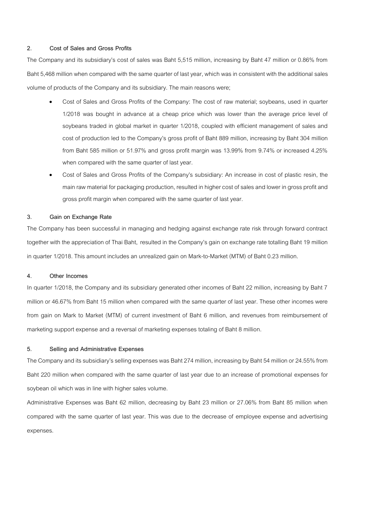## **2. Cost of Sales and Gross Profits**

The Company and its subsidiary's cost of sales was Baht 5,515 million, increasing by Baht 47 million or 0.86% from Baht 5,468 million when compared with the same quarter of last year, which was in consistent with the additional sales volume of products of the Company and its subsidiary. The main reasons were;

- Cost of Sales and Gross Profits of the Company: The cost of raw material; soybeans, used in quarter 1/2018 was bought in advance at a cheap price which was lower than the average price level of soybeans traded in global market in quarter 1/2018, coupled with efficient management of sales and cost of production led to the Company's gross profit of Baht 889 million, increasing by Baht 304 million from Baht 585 million or 51.97% and gross profit margin was 13.99% from 9.74% or increased 4.25% when compared with the same quarter of last year.
- Cost of Sales and Gross Profits of the Company's subsidiary: An increase in cost of plastic resin, the main raw material for packaging production, resulted in higher cost of sales and lower in gross profit and gross profit margin when compared with the same quarter of last year.

### **3. Gain on Exchange Rate**

The Company has been successful in managing and hedging against exchange rate risk through forward contract together with the appreciation of Thai Baht, resulted in the Company's gain on exchange rate totalling Baht 19 million in quarter 1/2018. This amount includes an unrealized gain on Mark-to-Market (MTM) of Baht 0.23 million.

#### **4. Other Incomes**

In quarter 1/2018, the Company and its subsidiary generated other incomes of Baht 22 million, increasing by Baht 7 million or 46.67% from Baht 15 million when compared with the same quarter of last year. These other incomes were from gain on Mark to Market (MTM) of current investment of Baht 6 million, and revenues from reimbursement of marketing support expense and a reversal of marketing expenses totaling of Baht 8 million.

# **5. Selling and Administrative Expenses**

The Company and its subsidiary's selling expenses was Baht 274 million, increasing by Baht 54 million or 24.55% from Baht 220 million when compared with the same quarter of last year due to an increase of promotional expenses for soybean oil which was in line with higher sales volume.

Administrative Expenses was Baht 62 million, decreasing by Baht 23 million or 27.06% from Baht 85 million when compared with the same quarter of last year. This was due to the decrease of employee expense and advertising expenses.